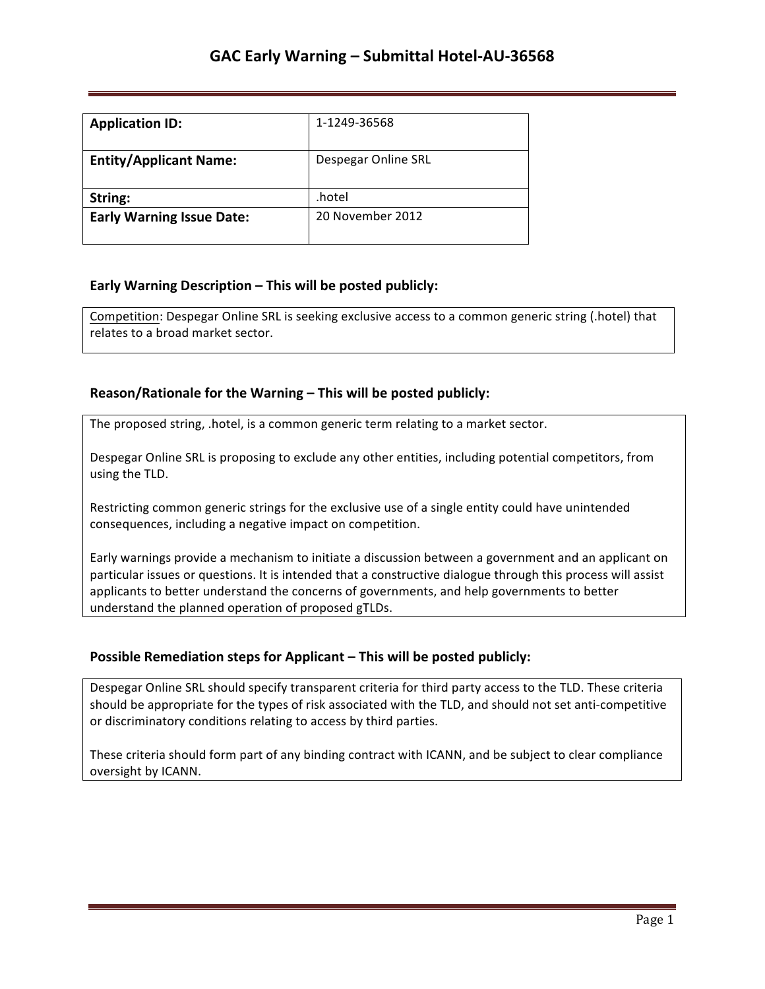| <b>Application ID:</b>           | 1-1249-36568        |
|----------------------------------|---------------------|
| <b>Entity/Applicant Name:</b>    | Despegar Online SRL |
| String:                          | .hotel              |
| <b>Early Warning Issue Date:</b> | 20 November 2012    |

## **Early Warning Description – This will be posted publicly:**

Competition: Despegar Online SRL is seeking exclusive access to a common generic string (.hotel) that relates to a broad market sector.

## **Reason/Rationale for the Warning – This will be posted publicly:**

The proposed string, .hotel, is a common generic term relating to a market sector.

Despegar Online SRL is proposing to exclude any other entities, including potential competitors, from using the TLD.

Restricting common generic strings for the exclusive use of a single entity could have unintended consequences, including a negative impact on competition.

Early warnings provide a mechanism to initiate a discussion between a government and an applicant on particular issues or questions. It is intended that a constructive dialogue through this process will assist applicants to better understand the concerns of governments, and help governments to better understand the planned operation of proposed gTLDs.

## **Possible Remediation steps for Applicant - This will be posted publicly:**

Despegar Online SRL should specify transparent criteria for third party access to the TLD. These criteria should be appropriate for the types of risk associated with the TLD, and should not set anti-competitive or discriminatory conditions relating to access by third parties.

These criteria should form part of any binding contract with ICANN, and be subject to clear compliance oversight by ICANN.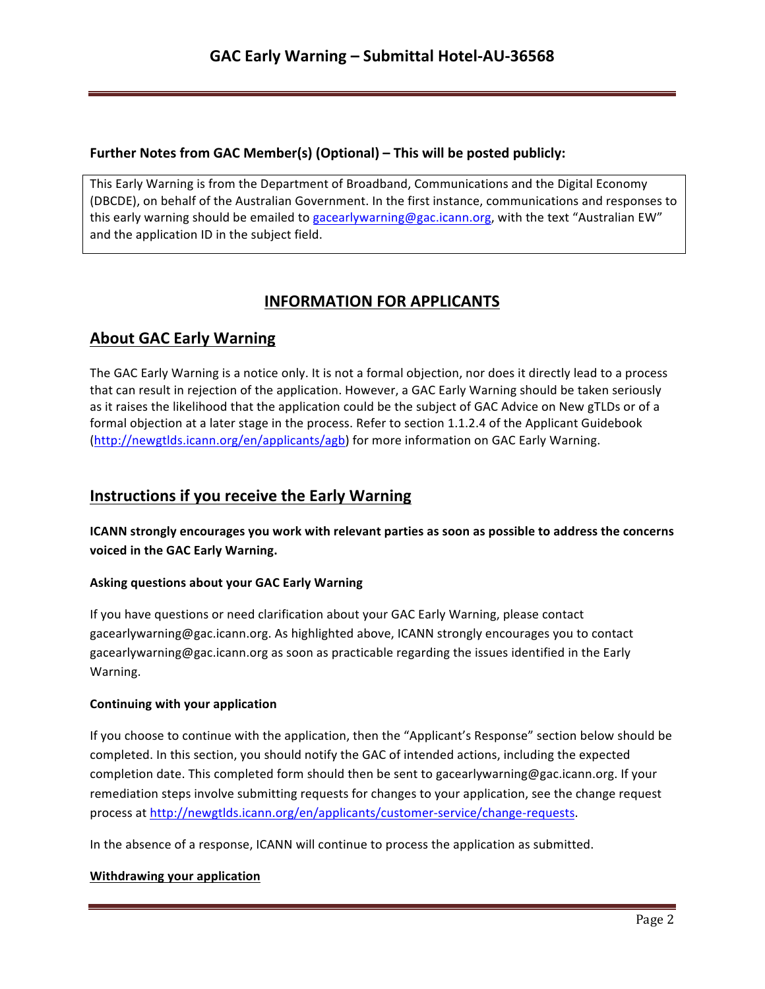## **Further Notes from GAC Member(s) (Optional) – This will be posted publicly:**

This Early Warning is from the Department of Broadband, Communications and the Digital Economy (DBCDE), on behalf of the Australian Government. In the first instance, communications and responses to this early warning should be emailed to gacearlywarning@gac.icann.org, with the text "Australian EW" and the application ID in the subject field.

# **INFORMATION FOR APPLICANTS**

# **About GAC Early Warning**

The GAC Early Warning is a notice only. It is not a formal objection, nor does it directly lead to a process that can result in rejection of the application. However, a GAC Early Warning should be taken seriously as it raises the likelihood that the application could be the subject of GAC Advice on New gTLDs or of a formal objection at a later stage in the process. Refer to section 1.1.2.4 of the Applicant Guidebook (http://newgtlds.icann.org/en/applicants/agb) for more information on GAC Early Warning.

## **Instructions if you receive the Early Warning**

**ICANN** strongly encourages you work with relevant parties as soon as possible to address the concerns voiced in the GAC Early Warning.

## **Asking questions about your GAC Early Warning**

If you have questions or need clarification about your GAC Early Warning, please contact gacearlywarning@gac.icann.org. As highlighted above, ICANN strongly encourages you to contact gacearlywarning@gac.icann.org as soon as practicable regarding the issues identified in the Early Warning. 

#### **Continuing with your application**

If you choose to continue with the application, then the "Applicant's Response" section below should be completed. In this section, you should notify the GAC of intended actions, including the expected completion date. This completed form should then be sent to gacearlywarning@gac.icann.org. If your remediation steps involve submitting requests for changes to your application, see the change request process at http://newgtlds.icann.org/en/applicants/customer-service/change-requests.

In the absence of a response, ICANN will continue to process the application as submitted.

#### **Withdrawing your application**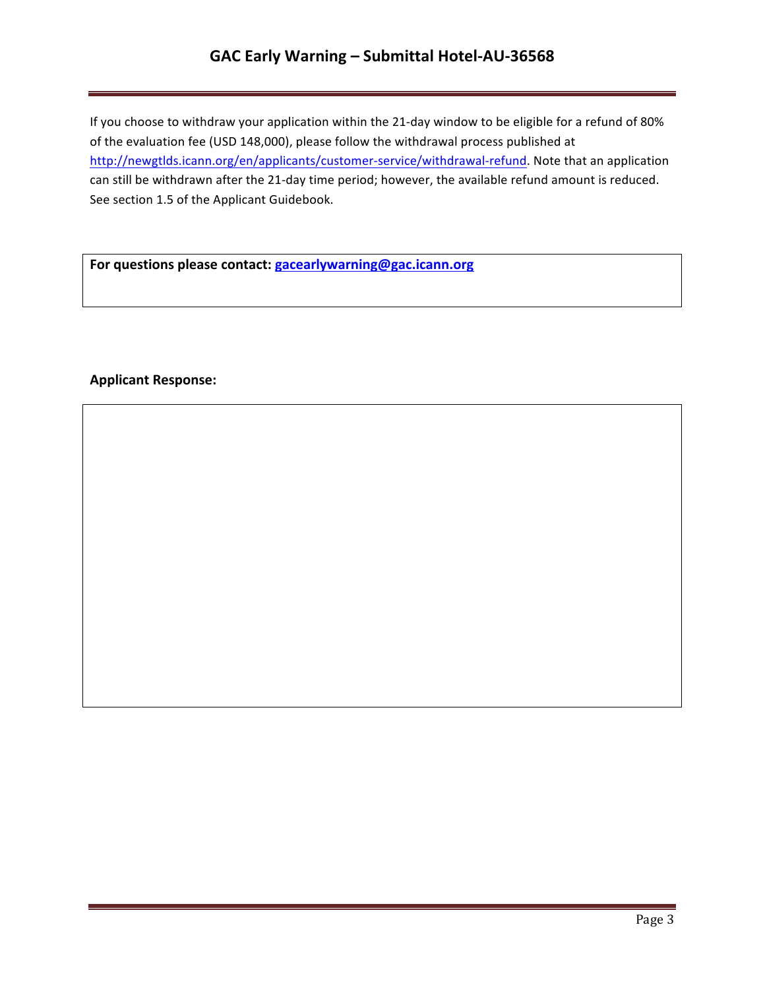## **GAC Early Warning – Submittal Hotel-AU-36568**

If you choose to withdraw your application within the 21-day window to be eligible for a refund of 80% of the evaluation fee (USD 148,000), please follow the withdrawal process published at http://newgtlds.icann.org/en/applicants/customer-service/withdrawal-refund. Note that an application can still be withdrawn after the 21-day time period; however, the available refund amount is reduced. See section 1.5 of the Applicant Guidebook.

For questions please contact: **gacearlywarning@gac.icann.org** 

### **Applicant Response:**